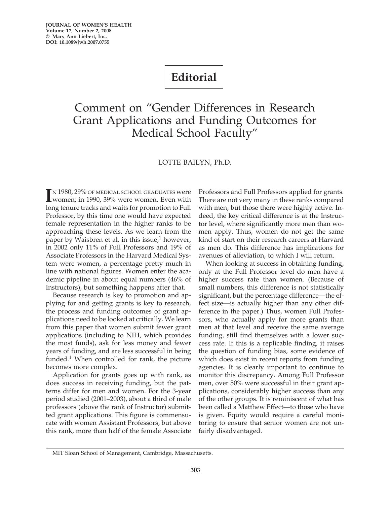## **Editorial**

## Comment on "Gender Differences in Research Grant Applications and Funding Outcomes for Medical School Faculty"

## LOTTE BAILYN, Ph.D.

I<sup>N</sup> 1980, 29% OF MEDICAL SCHOOL GRADUATES were<br>
women; in 1990, 39% were women. Even with women; in 1990, 39% were women. Even with long tenure tracks and waits for promotion to Full Professor, by this time one would have expected female representation in the higher ranks to be approaching these levels. As we learn from the paper by Waisbren et al. in this issue, $<sup>1</sup>$  however,</sup> in 2002 only 11% of Full Professors and 19% of Associate Professors in the Harvard Medical System were women, a percentage pretty much in line with national figures. Women enter the academic pipeline in about equal numbers (46% of Instructors), but something happens after that.

Because research is key to promotion and applying for and getting grants is key to research, the process and funding outcomes of grant applications need to be looked at critically. We learn from this paper that women submit fewer grant applications (including to NIH, which provides the most funds), ask for less money and fewer years of funding, and are less successful in being funded.<sup>1</sup> When controlled for rank, the picture becomes more complex.

Application for grants goes up with rank, as does success in receiving funding, but the patterns differ for men and women. For the 3-year period studied (2001–2003), about a third of male professors (above the rank of Instructor) submitted grant applications. This figure is commensurate with women Assistant Professors, but above this rank, more than half of the female Associate Professors and Full Professors applied for grants. There are not very many in these ranks compared with men, but those there were highly active. Indeed, the key critical difference is at the Instructor level, where significantly more men than women apply. Thus, women do not get the same kind of start on their research careers at Harvard as men do. This difference has implications for avenues of alleviation, to which I will return.

When looking at success in obtaining funding, only at the Full Professor level do men have a higher success rate than women. (Because of small numbers, this difference is not statistically significant, but the percentage difference—the effect size—is actually higher than any other difference in the paper.) Thus, women Full Professors, who actually apply for more grants than men at that level and receive the same average funding, still find themselves with a lower success rate. If this is a replicable finding, it raises the question of funding bias, some evidence of which does exist in recent reports from funding agencies. It is clearly important to continue to monitor this discrepancy. Among Full Professor men, over 50% were successful in their grant applications, considerably higher success than any of the other groups. It is reminiscent of what has been called a Matthew Effect—to those who have is given. Equity would require a careful monitoring to ensure that senior women are not unfairly disadvantaged.

MIT Sloan School of Management, Cambridge, Massachusetts.